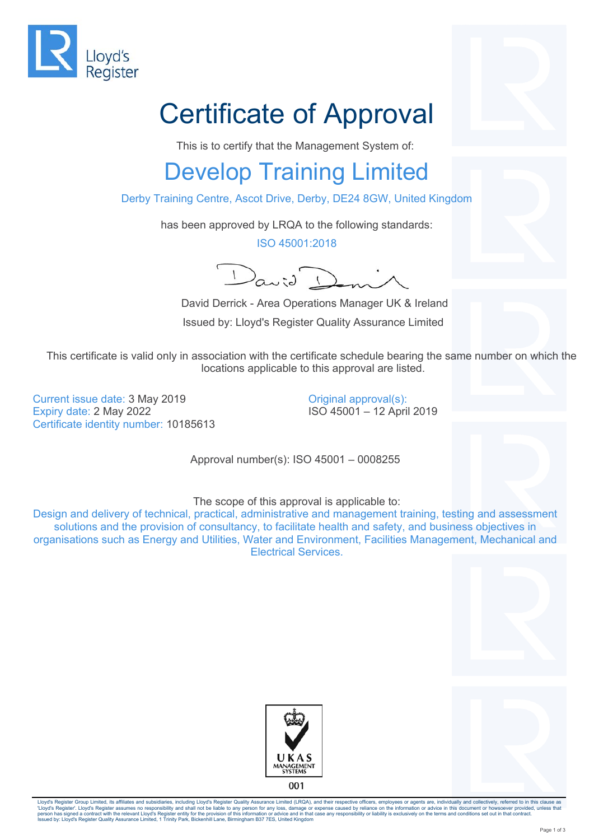

## Certificate of Approval

This is to certify that the Management System of:

## Develop Training Limited

Derby Training Centre, Ascot Drive, Derby, DE24 8GW, United Kingdom

has been approved by LRQA to the following standards:

ISO 45001:2018

 $2a$ 

 David Derrick - Area Operations Manager UK & Ireland Issued by: Lloyd's Register Quality Assurance Limited

This certificate is valid only in association with the certificate schedule bearing the same number on which the locations applicable to this approval are listed.

Current issue date: 3 May 2019 Expiry date: 2 May 2022 Certificate identity number: 10185613 Original approval(s): ISO 45001 – 12 April 2019

Approval number(s): ISO 45001 – 0008255

The scope of this approval is applicable to:

Design and delivery of technical, practical, administrative and management training, testing and assessment solutions and the provision of consultancy, to facilitate health and safety, and business objectives in organisations such as Energy and Utilities, Water and Environment, Facilities Management, Mechanical and Electrical Services.





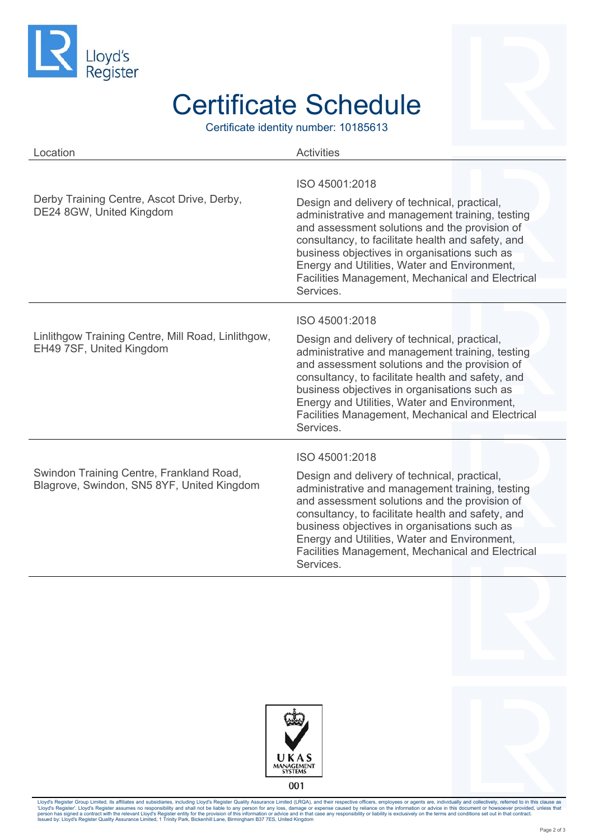

## Certificate Schedule

Certificate identity number: 10185613

| Location                                                                               | <b>Activities</b>                                                                                                                                                                                                                                                                                                                                                                        |
|----------------------------------------------------------------------------------------|------------------------------------------------------------------------------------------------------------------------------------------------------------------------------------------------------------------------------------------------------------------------------------------------------------------------------------------------------------------------------------------|
| Derby Training Centre, Ascot Drive, Derby,<br>DE24 8GW, United Kingdom                 | ISO 45001:2018<br>Design and delivery of technical, practical,<br>administrative and management training, testing<br>and assessment solutions and the provision of<br>consultancy, to facilitate health and safety, and<br>business objectives in organisations such as<br>Energy and Utilities, Water and Environment,<br>Facilities Management, Mechanical and Electrical<br>Services. |
| Linlithgow Training Centre, Mill Road, Linlithgow,<br>EH49 7SF, United Kingdom         | ISO 45001:2018<br>Design and delivery of technical, practical,<br>administrative and management training, testing<br>and assessment solutions and the provision of<br>consultancy, to facilitate health and safety, and<br>business objectives in organisations such as<br>Energy and Utilities, Water and Environment,<br>Facilities Management, Mechanical and Electrical<br>Services. |
| Swindon Training Centre, Frankland Road,<br>Blagrove, Swindon, SN5 8YF, United Kingdom | ISO 45001:2018<br>Design and delivery of technical, practical,<br>administrative and management training, testing<br>and assessment solutions and the provision of<br>consultancy, to facilitate health and safety, and<br>business objectives in organisations such as<br>Energy and Utilities, Water and Environment,<br>Facilities Management, Mechanical and Electrical<br>Services. |





Lloyd's Register Group Limited, its affiliates and subsidiaries, including Lloyd's Register Quality Assurance Limited (LRQA), and their respective officers, employees or agents are, individually and collectively, referred